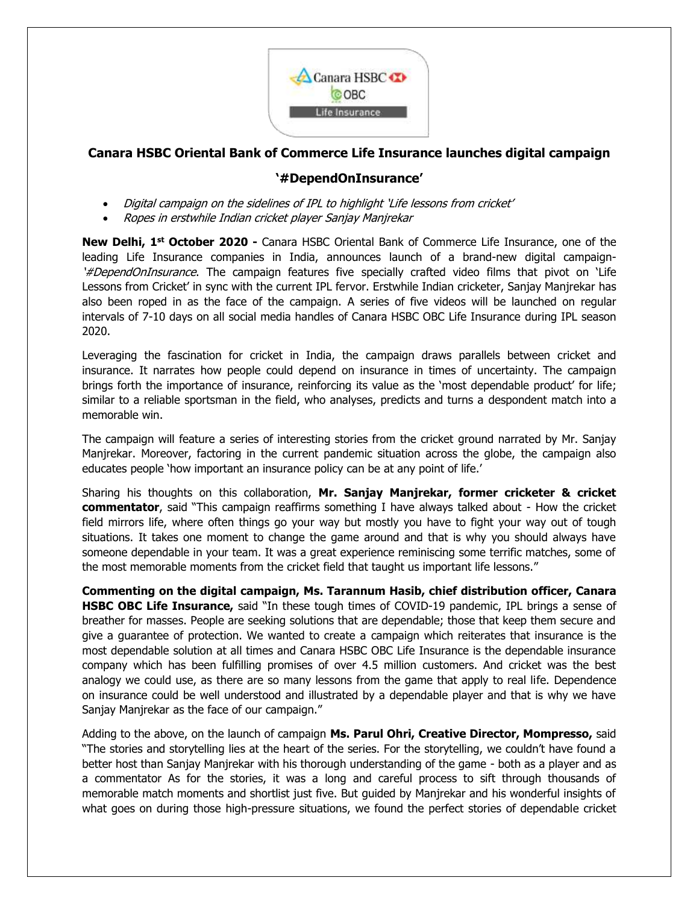

## **Canara HSBC Oriental Bank of Commerce Life Insurance launches digital campaign**

## **'#DependOnInsurance'**

- Digital campaign on the sidelines of IPL to highlight 'Life lessons from cricket'
- Ropes in erstwhile Indian cricket player Sanjay Manjrekar

**New Delhi, 1 st October 2020 -** Canara HSBC Oriental Bank of Commerce Life Insurance, one of the leading Life Insurance companies in India, announces launch of a brand-new digital campaign- '#DependOnInsurance. The campaign features five specially crafted video films that pivot on 'Life Lessons from Cricket' in sync with the current IPL fervor. Erstwhile Indian cricketer, Sanjay Manjrekar has also been roped in as the face of the campaign. A series of five videos will be launched on regular intervals of 7-10 days on all social media handles of Canara HSBC OBC Life Insurance during IPL season 2020.

Leveraging the fascination for cricket in India, the campaign draws parallels between cricket and insurance. It narrates how people could depend on insurance in times of uncertainty. The campaign brings forth the importance of insurance, reinforcing its value as the 'most dependable product' for life; similar to a reliable sportsman in the field, who analyses, predicts and turns a despondent match into a memorable win.

The campaign will feature a series of interesting stories from the cricket ground narrated by Mr. Sanjay Manjrekar. Moreover, factoring in the current pandemic situation across the globe, the campaign also educates people 'how important an insurance policy can be at any point of life.'

Sharing his thoughts on this collaboration, **Mr. Sanjay Manjrekar, former cricketer & cricket commentator**, said "This campaign reaffirms something I have always talked about - How the cricket field mirrors life, where often things go your way but mostly you have to fight your way out of tough situations. It takes one moment to change the game around and that is why you should always have someone dependable in your team. It was a great experience reminiscing some terrific matches, some of the most memorable moments from the cricket field that taught us important life lessons."

**Commenting on the digital campaign, Ms. Tarannum Hasib, chief distribution officer, Canara HSBC OBC Life Insurance,** said "In these tough times of COVID-19 pandemic, IPL brings a sense of breather for masses. People are seeking solutions that are dependable; those that keep them secure and give a guarantee of protection. We wanted to create a campaign which reiterates that insurance is the most dependable solution at all times and Canara HSBC OBC Life Insurance is the dependable insurance company which has been fulfilling promises of over 4.5 million customers. And cricket was the best analogy we could use, as there are so many lessons from the game that apply to real life. Dependence on insurance could be well understood and illustrated by a dependable player and that is why we have Sanjay Manjrekar as the face of our campaign."

Adding to the above, on the launch of campaign **Ms. Parul Ohri, Creative Director, Mompresso,** said "The stories and storytelling lies at the heart of the series. For the storytelling, we couldn't have found a better host than Sanjay Manjrekar with his thorough understanding of the game - both as a player and as a commentator As for the stories, it was a long and careful process to sift through thousands of memorable match moments and shortlist just five. But guided by Manjrekar and his wonderful insights of what goes on during those high-pressure situations, we found the perfect stories of dependable cricket